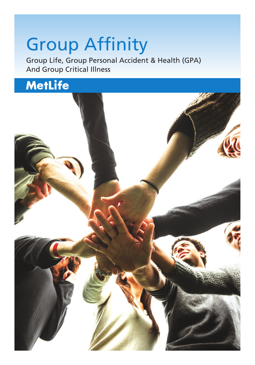# **Group Affinity**

Group Life, Group Personal Accident & Health (GPA) And Group Critical Illness

## **MetLife**

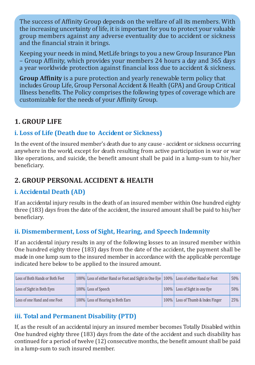The success of Affinity Group depends on the welfare of all its members. With the increasing uncertainty of life, it is important for you to protect your valuable group members against any adverse eventuality due to accident or sickness and the financial strain it brings

Keeping your needs in mind. MetLife brings to you a new Group Insurance Plan - Group Affinity, which provides your members 24 hours a day and 365 days a year worldwide protection against financial loss due to accident & sickness.

**Group Affinity** is a pure protection and yearly renewable term policy that includes Group Life, Group Personal Accident & Health (GPA) and Group Critical Illness benefits. The Policy comprises the following types of coverage which are customizable for the needs of your Affinity Group.

### 1 GROUP LIFE

### i. Loss of Life (Death due to Accident or Sickness)

In the event of the insured member's death due to any cause - accident or sickness occurring anywhere in the world, except for death resulting from active participation in war or war like operations, and suicide, the benefit amount shall be paid in a lump-sum to his/her beneficiary.

### 2. GROUP PERSONAL ACCIDENT & HEALTH

### i. Accidental Death (AD)

If an accidental injury results in the death of an insured member within One hundred eighty three (183) days from the date of the accident, the insured amount shall be paid to his/her beneficiary.

### ii. Dismemberment, Loss of Sight, Hearing, and Speech Indemnity

If an accidental injury results in any of the following losses to an insured member within One hundred eighty three (183) days from the date of the accident, the payment shall be made in one lump sum to the insured member in accordance with the applicable percentage indicated here below to be annlied to the insured amount.

| Loss of Both Hands or Both Feet | 100% Loss of either Hand or Foot and Sight in One Eve 100% Loss of either Hand or Foot |                                   | 50% |
|---------------------------------|----------------------------------------------------------------------------------------|-----------------------------------|-----|
| Loss of Sight in Both Eves      | 100% Loss of Speech                                                                    | 100% Loss of Sight in one Eve     | 50% |
| Loss of one Hand and one Foot   | 100% Loss of Hearing in Both Ears                                                      | 100% Loss of Thumb & Index Finger | 25% |

### iii. Total and Permanent Disability (PTD)

If, as the result of an accidental injury an insured member becomes Totally Disabled within One hundred eighty three (183) days from the date of the accident and such disability has continued for a period of twelve (12) consecutive months, the benefit amount shall be paid in a lump-sum to such insured member.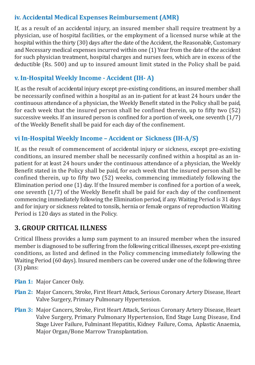### iv. Accidental Medical Expenses Reimbursement (AMR)

If, as a result of an accidental injury, an insured member shall require treatment by a physician, use of hospital facilities, or the employment of a licensed nurse while at the hospital within the thirty (30) days after the date of the Accident, the Reasonable, Customary and Necessary medical expenses incurred within one (1) Year from the date of the accident for such physician treatment, hospital charges and nurses fees, which are in excess of the deductible (Rs. 500) and up to insured amount limit stated in the Policy shall be paid.

### v. In-Hospital Weekly Income - Accident (IH-A)

If, as the result of accidental injury except pre-existing conditions, an insured member shall be necessarily confined within a hospital as an in-patient for at least 24 hours under the continuous attendance of a physician, the Weekly Benefit stated in the Policy shall be paid. for each week that the insured person shall be confined therein, up to fifty two (52) successive weeks. If an insured person is confined for a portion of week, one seventh (1/7) of the Weekly Benefit shall be paid for each day of the confinement.

### vi In-Hospital Weekly Income - Accident or Sickness (IH-A/S)

If, as the result of commencement of accidental injury or sickness, except pre-existing conditions, an insured member shall be necessarily confined within a hospital as an inpatient for at least 24 hours under the continuous attendance of a physician, the Weekly Benefit stated in the Policy shall be paid, for each week that the insured person shall be confined therein, un to fifty two (52) weeks, commencing immediately following the Elimination period one (1) day. If the Insured member is confined for a portion of a week. one seventh (1/7) of the Weekly Benefit shall be paid for each day of the confinement commencing immediately following the Elimination period, if any Waiting Period is 31 days and for injury or sickness related to tonsils, hernia or female organs of reproduction Waiting Period is 120 days as stated in the Policy.

### **3. GROUP CRITICAL ILLNESS**

Critical Illness provides a lump sum payment to an insured member when the insured member is diagnosed to be suffering from the following critical illnesses, except pre-existing conditions, as listed and defined in the Policy commencing immediately following the Waiting Period (60 days). Insured members can be covered under one of the following three  $(3)$  plans:

- Plan 1: Major Cancer Only
- Plan 2: Maior Cancers, Stroke, First Heart Attack, Serious Coronary Artery Disease, Heart Valve Surgery, Primary Pulmonary Hypertension.
- Plan 3: Major Cancers, Stroke, First Heart Attack, Serious Coronary Artery Disease, Heart Valve Surgery, Primary Pulmonary Hypertension, End Stage Lung Disease, End Stage Liver Failure, Fulminant Hepatitis, Kidney Failure, Coma, Aplastic Anaemia, Major Organ/Bone Marrow Transplantation.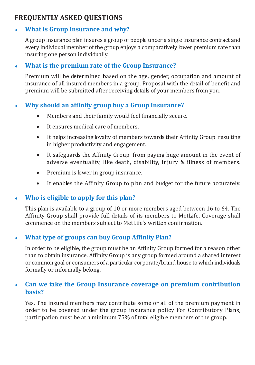### **FREQUENTLY ASKED OUESTIONS**

### What is Group Insurance and why?

A group insurance plan insures a group of people under a single insurance contract and every individual member of the group enjoys a comparatively lower premium rate than insuring one nerson individually.

#### What is the premium rate of the Group Insurance? ٠

Premium will be determined based on the age, gender, occupation and amount of insurance of all insured members in a group. Proposal with the detail of benefit and premium will be submitted after receiving details of your members from you.

### Why should an affinity group buy a Group Insurance?

- Members and their family would feel financially secure.  $\bullet$
- **a** It encures medical care of members
- $\overline{\phantom{a}}$ It helps increasing loyalty of members towards their Affinity Group resulting in higher productivity and engagement.
- It safeguards the Affinity Group from paying huge amount in the event of  $\bullet$ adverse eventuality, like death, disability, injury & illness of members.
- $\bullet$ Premium is lower in group insurance.
- It enables the Affinity Group to plan and budget for the future accurately.  $\bullet$

### Who is eligible to apply for this plan?

This plan is available to a group of 10 or more members aged between 16 to 64. The Affinity Group shall provide full details of its members to MetLife. Coverage shall commence on the members subject to MetLife's written confirmation.

### What type of groups can buy Group Affinity Plan?

In order to be eligible, the group must be an Affinity Group formed for a reason other than to obtain insurance. Affinity Group is any group formed around a shared interest or common goal or consumers of a particular corporate/brand house to which individuals formally or informally belong.

#### Can we take the Group Insurance coverage on premium contribution J. hacic?

Yes. The insured members may contribute some or all of the premium payment in order to be covered under the group insurance policy For Contributory Plans, participation must be at a minimum 75% of total eligible members of the group.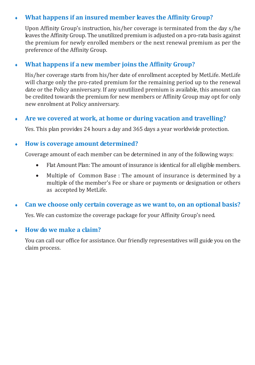#### What happens if an insured member leaves the Affinity Group? x

Upon Affinity Group's instruction, his/her coverage is terminated from the day s/he leaves the Affinity Group. The unutilized premium is adjusted on a pro-rata basis against the premium for newly enrolled members or the next renewal premium as per the preference of the Affinity Group.

#### What hannens if a new member joins the Affinity Groun? ¥

His/her coverage starts from his/her date of enrollment accepted by MetLife. MetLife will charge only the pro-rated premium for the remaining period up to the renewal date or the Policy anniversary. If any unutilized premium is available, this amount can be credited towards the premium for new members or Affinity Group may ont for only new enrolment at Policy anniversary.

#### Are we covered at work, at home or during vacation and travelling? Ä

Yes. This plan provides 24 hours a day and 365 days a year worldwide protection.

### How is coverage amount determined?

Coverage amount of each member can be determined in any of the following ways:

- Flat Amount Plan: The amount of insurance is identical for all eligible members.  $\blacksquare$
- $\bullet$ Multiple of Common Base: The amount of insurance is determined by a multiple of the member's Fee or share or payments or designation or others as accepted by MetLife.

#### Can we choose only certain coverage as we want to, on an optional basis? .

Yes. We can customize the coverage package for your Affinity Groun's need.

#### How do we make a claim? z

You can call our office for assistance. Our friendly representatives will guide you on the claim process.